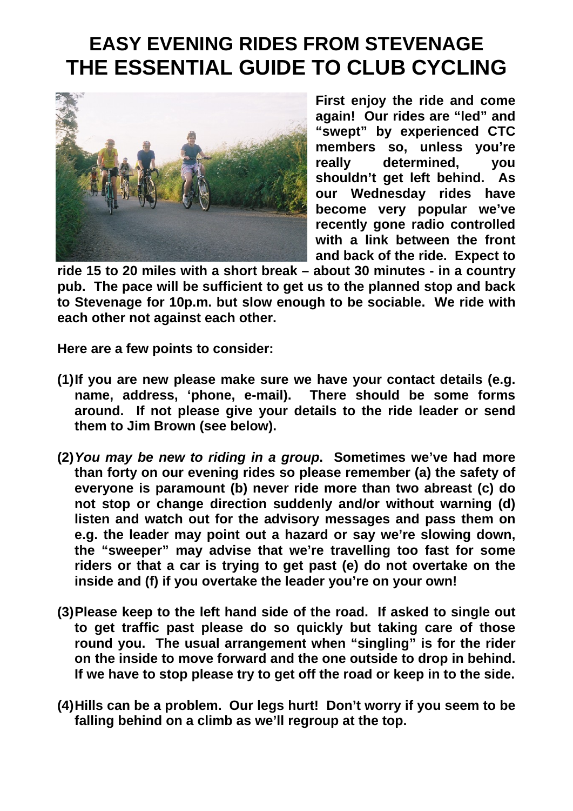## **EASY EVENING RIDES FROM STEVENAGE THE ESSENTIAL GUIDE TO CLUB CYCLING**



**First enjoy the ride and come again! Our rides are "led" and "swept" by experienced CTC members so, unless you're really determined, you shouldn't get left behind. As our Wednesday rides have become very popular we've recently gone radio controlled with a link between the front and back of the ride. Expect to** 

**ride 15 to 20 miles with a short break – about 30 minutes - in a country pub. The pace will be sufficient to get us to the planned stop and back to Stevenage for 10p.m. but slow enough to be sociable. We ride with each other not against each other.** 

**Here are a few points to consider:** 

- **(1) If you are new please make sure we have your contact details (e.g. name, address, 'phone, e-mail). There should be some forms around. If not please give your details to the ride leader or send them to Jim Brown (see below).**
- **(2)***You may be new to riding in a group***. Sometimes we've had more than forty on our evening rides so please remember (a) the safety of everyone is paramount (b) never ride more than two abreast (c) do not stop or change direction suddenly and/or without warning (d) listen and watch out for the advisory messages and pass them on e.g. the leader may point out a hazard or say we're slowing down, the "sweeper" may advise that we're travelling too fast for some riders or that a car is trying to get past (e) do not overtake on the inside and (f) if you overtake the leader you're on your own!**
- **(3) Please keep to the left hand side of the road. If asked to single out to get traffic past please do so quickly but taking care of those round you. The usual arrangement when "singling" is for the rider on the inside to move forward and the one outside to drop in behind. If we have to stop please try to get off the road or keep in to the side.**
- **(4) Hills can be a problem. Our legs hurt! Don't worry if you seem to be falling behind on a climb as we'll regroup at the top.**